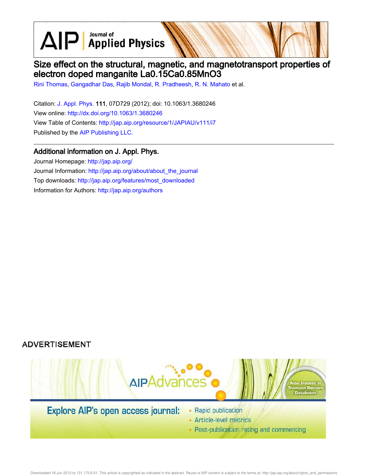$\text{AlP}$  Applied Physics

# Size effect on the structural, magnetic, and magnetotransport properties of electron doped manganite La0.15Ca0.85MnO3

Rini Thomas, Gangadhar Das, Rajib Mondal, R. Pradheesh, R. N. Mahato et al.

Citation: J. Appl. Phys. 111, 07D729 (2012); doi: 10.1063/1.3680246 View online: http://dx.doi.org/10.1063/1.3680246 View Table of Contents: http://jap.aip.org/resource/1/JAPIAU/v111/i7 Published by the AIP Publishing LLC.

## Additional information on J. Appl. Phys.

Journal Homepage: http://jap.aip.org/ Journal Information: http://jap.aip.org/about/about\_the\_journal Top downloads: http://jap.aip.org/features/most\_downloaded Information for Authors: http://jap.aip.org/authors

## **ADVERTISEMENT**



• Post-publication rating and commenting

Downloaded 18 Jun 2013 to 131.170.6.51. This article is copyrighted as indicated in the abstract. Reuse of AIP content is subject to the terms at: http://jap.aip.org/about/rights\_and\_permissions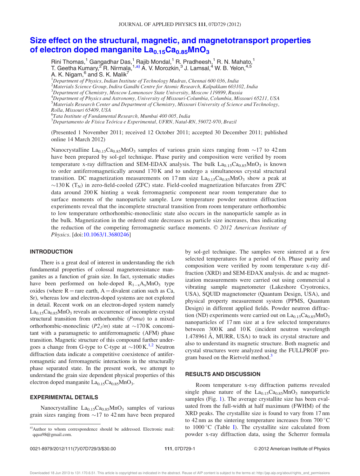## Size effect on the structural, magnetic, and magnetotransport properties of electron doped manganite  $La<sub>0.15</sub>Ca<sub>0.85</sub>MnO<sub>3</sub>$

Rini Thomas,<sup>1</sup> Gangadhar Das,<sup>1</sup> Rajib Mondal,<sup>1</sup> R. Pradheesh,<sup>1</sup> R. N. Mahato,<sup>1</sup> T. Geetha Kumary, $^{27}$ R. Nirmala, 1,a) A. V. Morozkin, 3 J. Lamsal,  $^{4}$  W. B. Yelon,  $^{4,5}$ A. K. Nigam, $^6$  and S. K. Malik<sup>7</sup>

 $1$ Department of Physics, Indian Institute of Technology Madras, Chennai 600 036, India  $^2$ Materials Science Group, Indira Gandhi Centre for Atomic Research, Kalpakkam 603102, India <sup>3</sup>Department of Chemistry, Moscow Lomonosov State University, Moscow 119899, Russia  ${}^{4}$ Department of Physics and Astronomy, University of Missouri-Columbia, Columbia, Missouri 65211, USA  $^5$ Materials Research Center and Department of Chemistry, Missouri University of Science and Technology, Rolla, Missouri 65409, USA <sup>6</sup>Tata Institute of Fundamental Research, Mumbai 400 005, India

 $^7$ Departamento de Física Teórica e Experimental, UFRN, Natal-RN, 59072-970, Brazil

(Presented 1 November 2011; received 12 October 2011; accepted 30 December 2011; published online 14 March 2012)

Nanocrystalline  $La<sub>0.15</sub>Ca<sub>0.85</sub>MnO<sub>3</sub>$  samples of various grain sizes ranging from  $\sim$ 17 to 42 nm have been prepared by sol-gel technique. Phase purity and composition were verified by room temperature x-ray diffraction and SEM-EDAX analysis. The bulk  $La_{0.15}Ca_{0.85}MnO_3$  is known to order antiferromagnetically around 170 K and to undergo a simultaneous crystal structural transition. DC magnetization measurements on 17 nm size  $La<sub>0.15</sub>Ca<sub>0.85</sub>MnO<sub>3</sub>$  show a peak at  $\sim$ 130 K (T<sub>N</sub>) in zero-field-cooled (ZFC) state. Field-cooled magnetization bifurcates from ZFC data around 200 K hinting a weak ferromagnetic component near room temperature due to surface moments of the nanoparticle sample. Low temperature powder neutron diffraction experiments reveal that the incomplete structural transition from room temperature orthorhombic to low temperature orthorhombic-monoclinic state also occurs in the nanoparticle sample as in the bulk. Magnetization in the ordered state decreases as particle size increases, thus indicating the reduction of the competing ferromagnetic surface moments. © 2012 American Institute of Physics. [doi:10.1063/1.3680246]

#### INTRODUCTION

There is a great deal of interest in understanding the rich fundamental properties of colossal magnetoresistance manganites as a function of grain size. In fact, systematic studies have been performed on hole-doped  $R_{1-x}A_xMnO_3$  type oxides (where  $R =$ rare earth, A = divalent cation such as Ca, Sr), whereas low and electron-doped systems are not explored in detail. Recent work on an electron-doped system namely  $La<sub>0.15</sub>Ca<sub>0.85</sub>MnO<sub>3</sub>$  reveals an occurrence of incomplete crystal structural transition from orthorhombic (Pnma) to a mixed orthorhombic-monoclinic  $(P2_1/m)$  state at  $\sim$ 170K concomitant with a paramagnetic to antiferromagnetic (AFM) phase transition. Magnetic structure of this compound further undergoes a change from G-type to C-type at  $\sim$  100 K.<sup>1,2</sup> Neutron diffraction data indicate a competitive coexistence of antiferromagnetic and ferromagnetic interactions in the structurally phase separated state. In the present work, we attempt to understand the grain size dependent physical properties of this electron doped manganite  $La_{0.15}Ca_{0.85}MnO_3$ .

#### EXPERIMENTAL DETAILS

Nanocrystalline  $La<sub>0.15</sub>Ca<sub>0.85</sub>MnO<sub>3</sub>$  samples of various grain sizes ranging from  $\sim$  17 to 42 nm have been prepared

by sol-gel technique. The samples were sintered at a few selected temperatures for a period of 6 h. Phase purity and composition were verified by room temperature x-ray diffraction (XRD) and SEM-EDAX analysis. dc and ac magnetization measurements were carried out using commercial a vibrating sample magnetometer (Lakeshore Cryotronics, USA), SQUID magnetometer (Quantum Design, USA), and physical property measurement system (PPMS, Quantum Design) in different applied fields. Powder neutron diffraction (ND) experiments were carried out on  $La<sub>0.15</sub>Ca<sub>0.85</sub>MnO<sub>3</sub>$ nanoparticles of 17 nm size at a few selected temperatures between 300 K and 10 K (incident neutron wavelength 1.478961 Å, MURR, USA) to track its crystal structure and also to understand its magnetic structure. Both magnetic and crystal structures were analyzed using the FULLPROF program based on the Rietveld method.<sup>3</sup>

#### RESULTS AND DISCUSSION

Room temperature x-ray diffraction patterns revealed single phase nature of the  $La<sub>0.15</sub>Ca<sub>0.85</sub>MnO<sub>3</sub>$  nanoparticle samples (Fig. 1). The average crystallite size has been evaluated from the full-width at half maximum (FWHM) of the XRD peaks. The crystallite size is found to vary from 17 nm to 42 nm as the sintering temperature increases from  $700^{\circ}$ C to  $1000\,^{\circ}$ C (Table I). The crystallite size calculated from powder x-ray diffraction data, using the Scherrer formula

a)Author to whom correspondence should be addressed. Electronic mail: qqua98@gmail.com.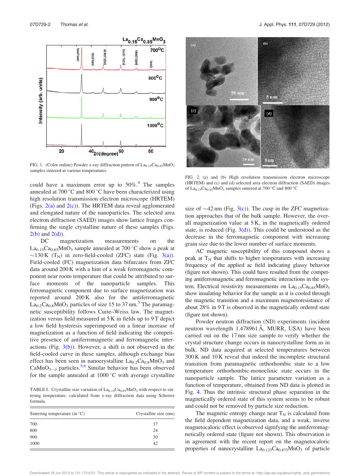

FIG. 1. (Color online) Powder x-ray diffraction pattern of  $La<sub>0.15</sub>Ca<sub>0.85</sub>MnO<sub>3</sub>$ samples sintered at various temperatures

could have a maximum error up to  $50\%$ .<sup>4</sup> The samples annealed at  $700\,^{\circ}\text{C}$  and  $800\,^{\circ}\text{C}$  have been characterized using high resolution transmission electron microscope (HRTEM) (Figs.  $2(a)$  and  $2(c)$ ). The HRTEM data reveal agglomerated and elongated nature of the nanoparticles. The selected area electron diffraction (SAED) images show lattice fringes confirming the single crystalline nature of these samples (Figs.  $2(b)$  and  $2(d)$ ).

DC magnetization measurements on the La<sub>0.15</sub>Ca<sub>0.85</sub>MnO<sub>3</sub> sample annealed at 700 °C show a peak at ~130 K (T<sub>N</sub>) in zero-field-cooled (ZFC) state (Fig. 3(a)). Field-cooled (FC) magnetization data bifurcates from ZFC data around 200 K with a hint of a weak ferromagnetic component near room temperature that could be attributed to surface moments of the nanoparticle samples. This ferromagnetic component due to surface magnetization was reported around 200 K also for the antiferromagnetic  $\text{La}_{0.2}\text{Ca}_{0.8}\text{MnO}_3$  particles of size 15 to 37 nm.<sup>5</sup> The paramagnetic susceptibility follows Curie–Weiss law. The magnetization versus field measured at  $5K$  in fields up to  $9T$  depict a low field hysteresis superimposed on a linear increase of magnetization as a function of field indicating the competitive presence of antiferromagnetic and ferromagnetic interactions (Fig.  $3(b)$ ). However, a shift is not observed in the field-cooled curve in these samples, although exchange bias effect has been seen in nanocrystalline  $La_{0.2}Ca_{0.8}MnO_3$  and  $CaMnO<sub>3-\delta</sub>$  particles.<sup>5,6</sup> Similar behavior has been observed for the sample annealed at  $1000\,^{\circ}\text{C}$  with average crystallite

TABLE I. Crystallite size variation of  $La<sub>0.15</sub>Ca<sub>0.85</sub>MnO<sub>3</sub>$  with respect to sintering temperature, calculated from x-ray diffraction data using Scherrer formula.

| Sintering temperature (in $\mathrm{^{\circ}C}$ ) | Crystallite size (nm) |
|--------------------------------------------------|-----------------------|
| 700                                              | 17                    |
| 800                                              | 24                    |
| 900                                              | 30                    |
| 1000                                             | 42                    |



FIG. 2. (a) and (b) High resolution transmission electron microscope (HRTEM) and (c) and (d) selected area electron diffraction (SAED) images of  $La<sub>0.15</sub>Ca<sub>0.85</sub>MnO<sub>3</sub>$  samples sintered at 700 °C and 800 °C

size of  $\sim$ 42 nm (Fig. 3(c)). The cusp in the ZFC magnetization approaches that of the bulk sample. However, the overall magnetization value at 5 K, in the magnetically ordered state, is reduced (Fig.  $3(d)$ ). This could be understood as the decrease in the ferromagnetic component with increasing grain size due to the lower number of surface moments.

AC magnetic susceptibility of this compound shows a peak at  $T_N$  that shifts to higher temperatures with increasing frequency of the applied ac field indicating glassy behavior (figure not shown). This could have resulted from the competing antiferromagnetic and ferromagnetic interactions in the system. Electrical resistivity measurements on  $La<sub>0.15</sub>Ca<sub>0.85</sub>MnO<sub>3</sub>$ show insulating behavior for the sample as it is cooled through the magnetic transition and a maximum magnetoresistance of about 28% in 9 T is observed in the magnetically ordered state (figure not shown).

Powder neutron diffraction (ND) experiments (incident neutron wavelength 1.478961 Å, MURR, USA) have been carried out on the 17 nm size sample to verify whether the crystal structure change occurs in nanocrystalline form as in bulk. ND data acquired at selected temperatures between 300 K and 10 K reveal that indeed the incomplete structural transition from paramagnetic orthorhombic state to a low temperature orthorhombic-monoclinic state occurs in the nanoparticle sample. The lattice parameter variation as a function of temperature, obtained from ND data is plotted in Fig. 4. Thus the intrinsic structural phase separation in the magnetically ordered state of this system seems to be robust and could not be removed by particle size reduction.

The magnetic entropy change near  $T_N$  is calculated from the field dependent magnetization data, and a weak, inverse magnetocaloric effect is observed signifying the antiferromagnetically ordered state (figure not shown). This observation is in agreement with the recent report on the magnetocaloric properties of nanocrystalline  $La<sub>0.125</sub>Ca<sub>0.875</sub>MnO<sub>3</sub>$  of particle

Downloaded 18 Jun 2013 to 131.170.6.51. This article is copyrighted as indicated in the abstract. Reuse of AIP content is subject to the terms at: http://jap.aip.org/about/rights\_and\_permissions